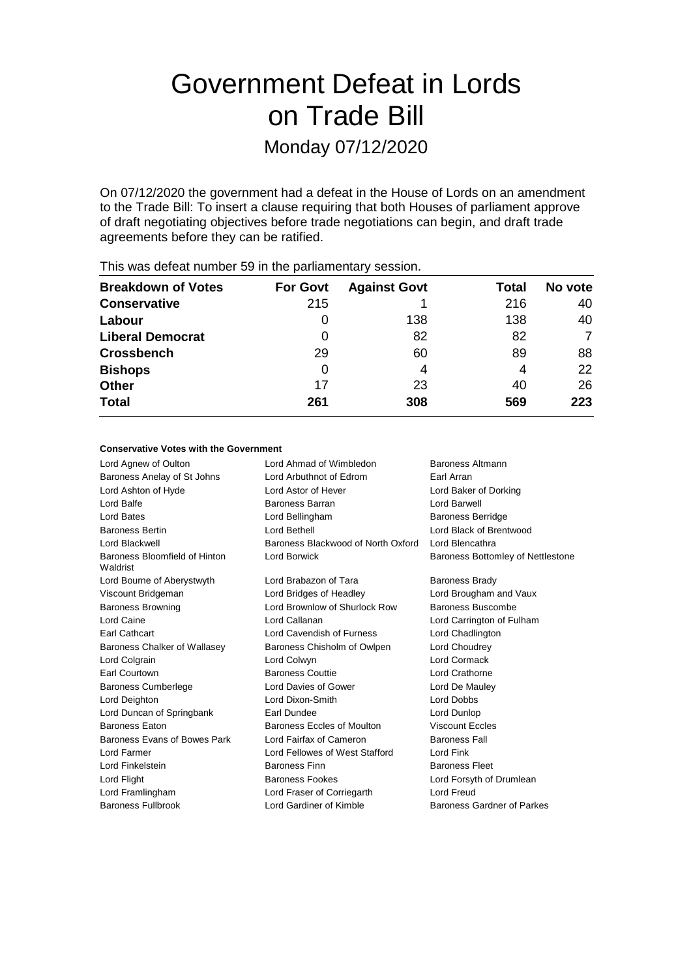# Government Defeat in Lords on Trade Bill

Monday 07/12/2020

On 07/12/2020 the government had a defeat in the House of Lords on an amendment to the Trade Bill: To insert a clause requiring that both Houses of parliament approve of draft negotiating objectives before trade negotiations can begin, and draft trade agreements before they can be ratified.

| <b>Breakdown of Votes</b> | <b>For Govt</b> | <b>Against Govt</b> | Total | No vote |
|---------------------------|-----------------|---------------------|-------|---------|
| <b>Conservative</b>       | 215             |                     | 216   | 40      |
| Labour                    | O               | 138                 | 138   | 40      |
| <b>Liberal Democrat</b>   | 0               | 82                  | 82    | 7       |
| <b>Crossbench</b>         | 29              | 60                  | 89    | 88      |
| <b>Bishops</b>            | 0               | 4                   | 4     | 22      |
| <b>Other</b>              | 17              | 23                  | 40    | 26      |
| <b>Total</b>              | 261             | 308                 | 569   | 223     |
|                           |                 |                     |       |         |

This was defeat number 59 in the parliamentary session.

#### **Conservative Votes with the Government**

| Lord Ahmad of Wimbledon            | Baroness Altmann                  |
|------------------------------------|-----------------------------------|
| Lord Arbuthnot of Edrom            | Earl Arran                        |
| Lord Astor of Hever                | Lord Baker of Dorking             |
| <b>Baroness Barran</b>             | Lord Barwell                      |
| Lord Bellingham                    | <b>Baroness Berridge</b>          |
| Lord Bethell                       | Lord Black of Brentwood           |
| Baroness Blackwood of North Oxford | Lord Blencathra                   |
| Lord Borwick                       | Baroness Bottomley of Nettlestone |
| Lord Brabazon of Tara              | <b>Baroness Brady</b>             |
| Lord Bridges of Headley            | Lord Brougham and Vaux            |
| Lord Brownlow of Shurlock Row      | Baroness Buscombe                 |
| Lord Callanan                      | Lord Carrington of Fulham         |
| Lord Cavendish of Furness          | Lord Chadlington                  |
| Baroness Chisholm of Owlpen        | Lord Choudrey                     |
| Lord Colwyn                        | Lord Cormack                      |
| <b>Baroness Couttie</b>            | Lord Crathorne                    |
| Lord Davies of Gower               | Lord De Mauley                    |
| Lord Dixon-Smith                   | <b>Lord Dobbs</b>                 |
| Earl Dundee                        | Lord Dunlop                       |
| Baroness Eccles of Moulton         | <b>Viscount Eccles</b>            |
| Lord Fairfax of Cameron            | <b>Baroness Fall</b>              |
| Lord Fellowes of West Stafford     | Lord Fink                         |
| <b>Baroness Finn</b>               | <b>Baroness Fleet</b>             |
| <b>Baroness Fookes</b>             | Lord Forsyth of Drumlean          |
| Lord Fraser of Corriegarth         | Lord Freud                        |
| Lord Gardiner of Kimble            | Baroness Gardner of Parkes        |
|                                    |                                   |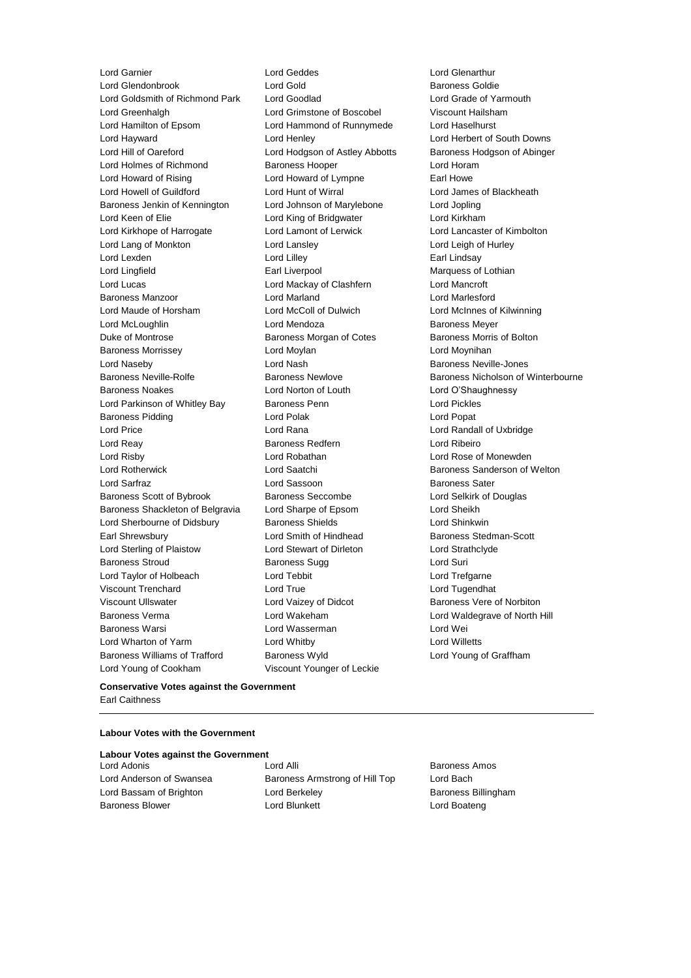Lord Garnier Lord Geddes Lord Glenarthur Lord Glendonbrook Lord Gold<br>
Lord Gold Baroness Goldie<br>
Lord Goldsmith of Richmond Park Lord Goodlad Lord Grade of Ya Lord Goldsmith of Richmond Park Lord Goodlad Lord Grade of Yarmouth Lord Greenhalgh Lord Grimstone of Boscobel Viscount Hailsham Lord Hamilton of Epsom Lord Hammond of Runnymede Lord Haselhurst Lord Hayward Lord Henley Lord Herbert of South Downs Lord Hill of Oareford Lord Hodgson of Astley Abbotts Baroness Hodgson of Abinger Lord Holmes of Richmond Baroness Hooper Correct Lord Horam Lord Howard of Rising Lord Howard of Lympne Earl Howe Lord Howell of Guildford Lord Hunt of Wirral Lord James of Blackheath Baroness Jenkin of Kennington Lord Johnson of Marylebone Lord Jopling Lord Keen of Elie **Lord King of Bridgwater** Lord Kirkham Lord Kirkhope of Harrogate Lord Lamont of Lerwick Lord Lancaster of Kimbolton Lord Lang of Monkton Lord Lansley Lord Leigh of Hurley Lord Lexden **Lord Lindsay** Lord Lilley **Communication** Lord Lilley **Earl Lindsay** Lord Lingfield **Earl Liverpool** Earl Liverpool Marquess of Lothian Lord Lucas Lord Mackay of Clashfern Lord Mancroft Baroness Manzoor Lord Marland Lord Marlesford Lord Maude of Horsham Lord McColl of Dulwich Lord McInnes of Kilwinning Lord McLoughlin **Lord Mendoza Baroness Meyer** Duke of Montrose Baroness Morgan of Cotes Baroness Morris of Bolton Baroness Morrissey **Lord Moylan** Lord Moylan Lord Moynihan Lord Naseby **Lord Nash Baroness Neville-Jones** Lord Nash Baroness Neville-Jones Baroness Neville-Rolfe **Baroness Newlove** Baroness Newlove **Baroness Nicholson of Winterbourne** Baroness Noakes Lord Norton of Louth Lord O'Shaughnessy Lord Parkinson of Whitley Bay Baroness Penn **Lord Pickles** Baroness Pidding Lord Polak Lord Popat Lord Price Lord Rana Lord Randall of Uxbridge Lord Reay Baroness Redfern Lord Ribeiro Lord Risby Lord Robathan Lord Rose of Monewden Lord Rotherwick Lord Saatchi Baroness Sanderson of Welton Lord Sarfraz **Lord Sassoon** Baroness Sater Baroness Scott of Bybrook Baroness Seccombe Lord Selkirk of Douglas Baroness Shackleton of Belgravia Lord Sharpe of Epsom Lord Sheikh Lord Sherbourne of Didsbury **Baroness Shields Lord Shinkwin** Earl Shrewsbury **Example 20** Lord Smith of Hindhead Baroness Stedman-Scott Lord Sterling of Plaistow Lord Stewart of Dirleton Lord Strathclyde Baroness Stroud **Baroness Sugg Lord Suri** Lord Taylor of Holbeach Lord Tebbit Lord Trefgarne Viscount Trenchard Lord True Lord Tugendhat Viscount Ullswater **Lord Vaizey of Didcot** Baroness Vere of Norbiton Baroness Verma Lord Wakeham Lord Waldegrave of North Hill Baroness Warsi Lord Wasserman Lord Wei Lord Wharton of Yarm Lord Whitby Lord Willetts Baroness Williams of Trafford Baroness Wyld Lord Young of Graffham Lord Young of Cookham Viscount Younger of Leckie

#### **Conservative Votes against the Government** Earl Caithness

#### **Labour Votes with the Government**

#### **Labour Votes against the Government**

Lord Adonis Lord Alli Baroness Amos Lord Anderson of Swansea Baroness Armstrong of Hill Top Lord Bach Lord Bassam of Brighton **Lord Berkeley Communist Baroness Billingham** Baroness Blower **Lord Blunkett** Lord Boateng Lord Boateng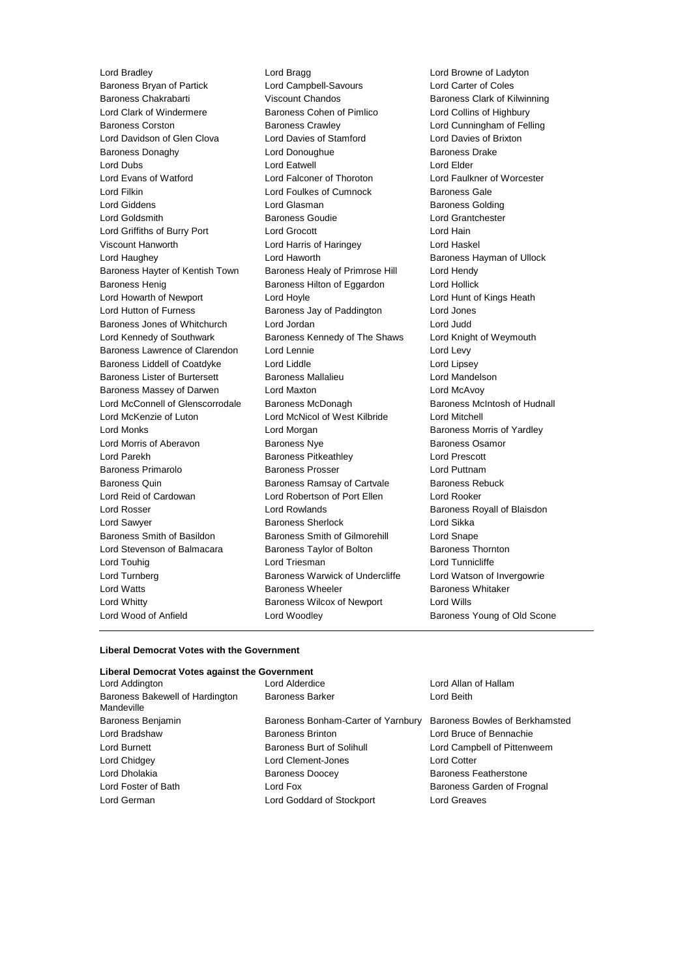Baroness Bryan of Partick Lord Campbell-Savours Lord Carter of Coles Baroness Chakrabarti Viscount Chandos Baroness Clark of Kilwinning Lord Clark of Windermere **Baroness Cohen of Pimlico** Lord Collins of Highbury Baroness Corston **Baroness Crawley Baroness Crawley** Lord Cunningham of Felling Lord Davidson of Glen Clova Lord Davies of Stamford Lord Davies of Brixton Baroness Donaghy Lord Donoughue Baroness Drake Lord Dubs Lord Eatwell Lord Elder Lord Evans of Watford Lord Falconer of Thoroton Lord Faulkner of Worcester Lord Filkin **Lord Foulkes of Cumnock** Baroness Gale Lord Giddens Lord Glasman Baroness Golding Lord Goldsmith Baroness Goudie Lord Grantchester Lord Griffiths of Burry Port Lord Grocott Lord Hain Viscount Hanworth Lord Harris of Haringey Lord Haskel Lord Haughey Lord Haworth Baroness Hayman of Ullock Baroness Hayter of Kentish Town Baroness Healy of Primrose Hill Lord Hendy Baroness Henig **Baroness Hilton of Eggardon** Lord Hollick Lord Howarth of Newport **Lord Hoyle** Lord Hoyle **Lord Hunt of Kings Heath** Lord Hutton of Furness **Baroness Jay of Paddington** Lord Jones Baroness Jones of Whitchurch Lord Jordan Lord Judd Lord Kennedy of Southwark Baroness Kennedy of The Shaws Lord Knight of Weymouth Baroness Lawrence of Clarendon Lord Lennie **Lord Levy** Lord Levy Baroness Liddell of Coatdyke Lord Liddle Lord Lipsey Baroness Lister of Burtersett Baroness Mallalieu Lord Mandelson Baroness Massey of Darwen Lord Maxton Lord McAvoy Lord McConnell of Glenscorrodale Baroness McDonagh Baroness McIntosh of Hudnall Lord McKenzie of Luton Lord McNicol of West Kilbride Lord Mitchell Lord Monks **Lord Morgan** Lord Morgan **Baroness Morris of Yardley** Lord Morris of Aberavon **Baroness Nye** Baroness Osamor Lord Parekh Baroness Pitkeathley Lord Prescott Baroness Primarolo Baroness Prosser Lord Puttnam Baroness Quin **Baroness Ramsay of Cartvale** Baroness Rebuck Lord Reid of Cardowan Lord Robertson of Port Ellen Lord Rooker Lord Rosser Lord Rowlands Baroness Royall of Blaisdon Lord Sawyer Baroness Sherlock Lord Sikka Baroness Smith of Basildon Baroness Smith of Gilmorehill Lord Snape Lord Stevenson of Balmacara **Baroness Taylor of Bolton** Baroness Thornton Lord Touhig **Lord Triesman** Lord Triesman **Lord Tunnicliffe** Lord Turnberg **Baroness Warwick of Undercliffe** Lord Watson of Invergowrie Lord Watts **Baroness Wheeler** Baroness Wheeler **Baroness Whitaker** Lord Whitty **Baroness Wilcox of Newport** Lord Wills Lord Wood of Anfield **Lord Woodley Baroness Young of Old Scone** 

Lord Bradley **Lord Bragg Lord Browne of Ladyton**<br>
Baroness Brvan of Partick **Lord Campbell-Savours** Lord Carter of Coles

#### **Liberal Democrat Votes with the Government**

#### **Liberal Democrat Votes against the Government**

| Lord Addington                                | Lord Alderdice                     | Lord Allan of Hallam           |
|-----------------------------------------------|------------------------------------|--------------------------------|
| Baroness Bakewell of Hardington<br>Mandeville | <b>Baroness Barker</b>             | Lord Beith                     |
| Baroness Benjamin                             | Baroness Bonham-Carter of Yarnbury | Baroness Bowles of Berkhamsted |
| Lord Bradshaw                                 | <b>Baroness Brinton</b>            | Lord Bruce of Bennachie        |
| Lord Burnett                                  | Baroness Burt of Solihull          | Lord Campbell of Pittenweem    |
| Lord Chidgey                                  | Lord Clement-Jones                 | <b>Lord Cotter</b>             |
| Lord Dholakia                                 | <b>Baroness Doocey</b>             | <b>Baroness Featherstone</b>   |
| Lord Foster of Bath                           | Lord Fox                           | Baroness Garden of Frognal     |
| Lord German                                   | Lord Goddard of Stockport          | <b>Lord Greaves</b>            |
|                                               |                                    |                                |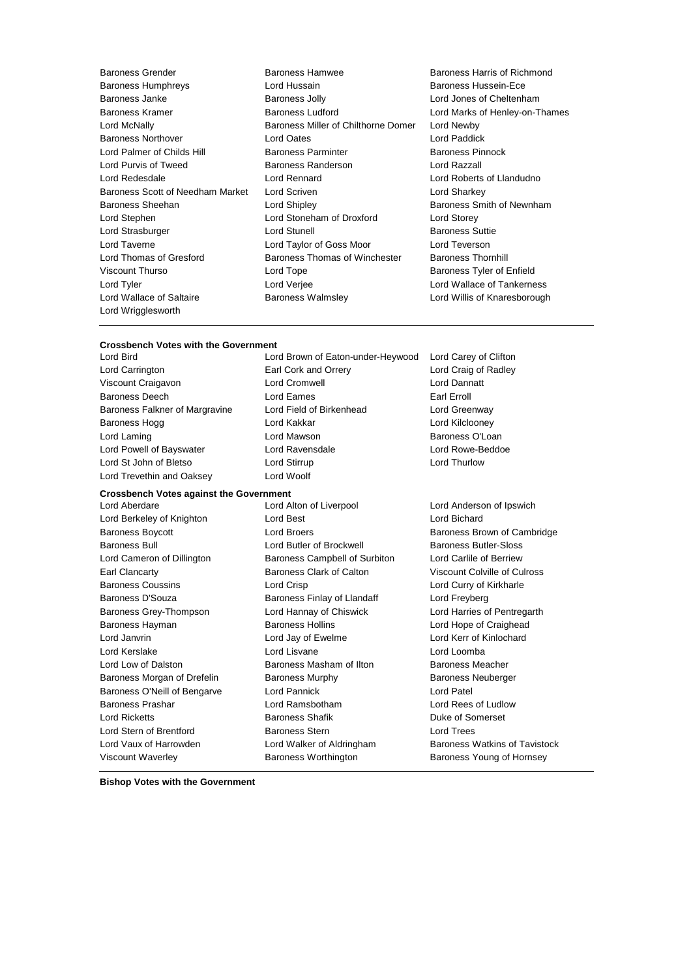Lord Palmer of Childs Hill Baroness Parminter Lord Wrigglesworth

- Baroness Grender Baroness Hamwee Baroness Harris of Richmond Baroness Humphreys Lord Hussain Baroness Hussein-Ece Baroness Janke Baroness Jolly Lord Jones of Cheltenham Baroness Kramer **Baroness Ludford Lord Marks of Henley-on-Thames Baroness Ludford Lord Marks of Henley-on-Thames** Lord McNally Baroness Miller of Chilthorne Domer Lord Newby Baroness Northover **Lord Cates** Lord Dates **Lord Dates** Lord Paddick<br>
Lord Palmer of Childs Hill **Baroness Parminter** Baroness Pinnock Lord Purvis of Tweed Baroness Randerson Lord Razzall Lord Redesdale Lord Rennard Lord Roberts of Llandudno Baroness Scott of Needham Market Lord Scriven Lord Charless Scott of Needham Market Lord Scriven Baroness Sheehan **Lord Shipley Baroness Smith of Newnham** Lord Stephen Lord Stoneham of Droxford Lord Storey Lord Strasburger Lord Stunell Baroness Suttie Lord Taverne Lord Taylor of Goss Moor Lord Teverson Lord Thomas of Gresford Baroness Thomas of Winchester Baroness Thornhill Viscount Thurso **Communist Constructs** Lord Tope **Baroness Tyler of Enfield** Lord Tyler Lord Verjee Lord Wallace of Tankerness Lord Wallace of Saltaire **Baroness Walmsley Communist Cord Willis of Knaresborough** 
	-

#### **Crossbench Votes with the Government**

Lord Trevethin and Oaksey Lord Woolf

### **Crossbench Votes against the Government**

- Lord Berkeley of Knighton Lord Best Lord Bichard Baroness Boycott **Baroness** Boycott **Lord Broers Baroness Brown of Cambridge** Baroness Bull Lord Butler of Brockwell Baroness Butler-Sloss Lord Cameron of Dillington Baroness Campbell of Surbiton Lord Carlile of Berriew Earl Clancarty Baroness Clark of Calton Viscount Colville of Culross Baroness Coussins **Lord Crisp** Lord Crisp **Lord Curry of Kirkharle** Baroness D'Souza **Baroness Finlay of Llandaff** Lord Freyberg Baroness Grey-Thompson Lord Hannay of Chiswick Lord Harries of Pentregarth Baroness Hayman **Baroness Hollins** Baroness Hollins **Lord Hope of Craighead** Lord Janvrin Lord Jay of Ewelme Lord Kerr of Kinlochard Lord Kerslake Lord Lisvane Lord Loomba Lord Low of Dalston Baroness Masham of Ilton Baroness Meacher Baroness Morgan of Drefelin Baroness Murphy Baroness Neuberger Baroness O'Neill of Bengarve Lord Pannick Cord Patel Baroness Prashar Lord Ramsbotham Lord Rees of Ludlow Lord Ricketts **Baroness Shafik Baroness Shafik** Duke of Somerset Lord Stern of Brentford Baroness Stern Lord Trees Lord Vaux of Harrowden **Lord Walker of Aldringham** Baroness Watkins of Tavistock Viscount Waverley Baroness Worthington Baroness Young of Hornsey
- Lord Bird Lord Brown of Eaton-under-Heywood Lord Carey of Clifton Lord Carrington Earl Cork and Orrery Lord Craig of Radley Viscount Craigavon Lord Cromwell Lord Dannatt Baroness Deech **Lord Eames** Earl Erroll Earl Erroll Baroness Falkner of Margravine Lord Field of Birkenhead Lord Greenway Baroness Hogg **Lord Kakkar** Lord Kakkar **Lord Kilclooney** Lord Laming **Lord Mawson** Lord Mawson **Baroness O'Loan** Lord Powell of Bayswater Lord Ravensdale Lord Rowe-Beddoe Lord St John of Bletso Lord Stirrup Lord Thurlow

Lord Aberdare Lord Alton of Liverpool Lord Anderson of Ipswich

**Bishop Votes with the Government**